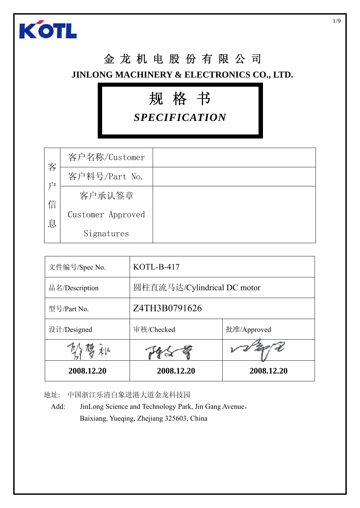

### 金龙机电股份有限公司 **JINLONG MACHINERY & ELECTRONICS CO., LTD.**

# 规格书

*SPECIFICATION*

| 客<br>户<br>信 | 客户名称/Customer     |  |
|-------------|-------------------|--|
|             | 客户料号/Part No.     |  |
|             | 客户承认签章            |  |
|             | Customer Approved |  |
| 息           | Signatures        |  |

| 文件编号/Spec No.  | KOTL-B-417                  |             |  |  |  |
|----------------|-----------------------------|-------------|--|--|--|
| 品名/Description | 圆柱直流马达/Cylindrical DC motor |             |  |  |  |
| 型号/Part No.    | Z4TH3B0791626               |             |  |  |  |
| 设计/Designed    | 审核/Checked                  | 批准/Approved |  |  |  |
|                |                             |             |  |  |  |
| 2008.12.20     | 2008.12.20                  | 2008.12.20  |  |  |  |

地址: 中国浙江乐清白象进港大道金龙科技园

Add: JinLong Science and Technology Park, Jin Gang Avenue, Baixiang, Yueqing, Zhejiang 325603, China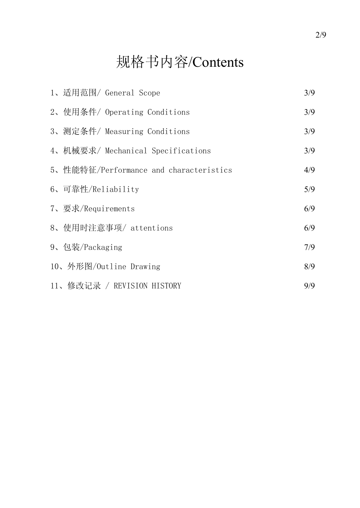## 规格书内容/Contents

| 1、适用范围/ General Scope                  | 3/9 |
|----------------------------------------|-----|
| 2、使用条件/ Operating Conditions           | 3/9 |
| 3、测定条件/ Measuring Conditions           | 3/9 |
| 4、机械要求/ Mechanical Specifications      | 3/9 |
| 5、性能特征/Performance and characteristics | 4/9 |
| 6、可靠性/Reliability                      | 5/9 |
| 7、要求/Requirements                      | 6/9 |
| 8、使用时注意事项/ attentions                  | 6/9 |
| 9、包装/Packaging                         | 7/9 |
| 10、外形图/Outline Drawing                 | 8/9 |
| 11、修改记录 / REVISION HISTORY             | 9/9 |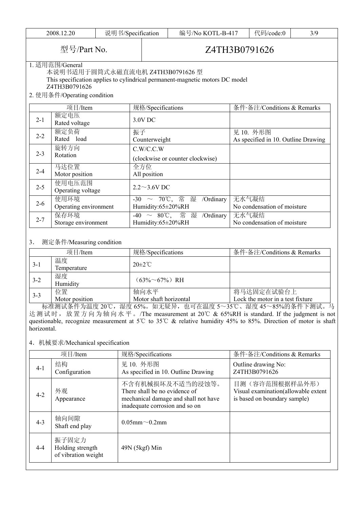| 2008.12.20                               |                                                                                                                                                                                     | 说明书/Specification   | 编号/No KOTL-B-417                                 |                                                                  |                                      | 代码/code:0                                        | 3/9 |  |  |  |
|------------------------------------------|-------------------------------------------------------------------------------------------------------------------------------------------------------------------------------------|---------------------|--------------------------------------------------|------------------------------------------------------------------|--------------------------------------|--------------------------------------------------|-----|--|--|--|
|                                          | 型号/Part No.                                                                                                                                                                         |                     | Z4TH3B0791626                                    |                                                                  |                                      |                                                  |     |  |  |  |
|                                          | 1. 适用范围/General<br>本说明书适用于圆筒式永磁直流电机 Z4TH3B0791626 型<br>This specification applies to cylindrical permanent-magnetic motors DC model<br>Z4TH3B0791626<br>2. 使用条件/Operating condition |                     |                                                  |                                                                  |                                      |                                                  |     |  |  |  |
|                                          | 项目/Item                                                                                                                                                                             |                     | 规格/Specifications                                |                                                                  |                                      | 条件·备注/Conditions & Remarks                       |     |  |  |  |
| $2 - 1$                                  | 额定电压<br>Rated voltage                                                                                                                                                               |                     | 3.0V DC                                          |                                                                  |                                      |                                                  |     |  |  |  |
| $2 - 2$                                  | 额定负荷<br>Rated load                                                                                                                                                                  |                     | 振子<br>Counterweight                              |                                                                  |                                      | 见 10. 外形图<br>As specified in 10. Outline Drawing |     |  |  |  |
| $2 - 3$                                  | 旋转方向<br>Rotation                                                                                                                                                                    |                     | C.W/C.C.W<br>(clockwise or counter clockwise)    |                                                                  |                                      |                                                  |     |  |  |  |
| $2 - 4$                                  | 马达位置<br>Motor position                                                                                                                                                              | 全方位<br>All position |                                                  |                                                                  |                                      |                                                  |     |  |  |  |
| 使用电压范围<br>$2 - 5$<br>Operating voltage   |                                                                                                                                                                                     |                     | $2.2 \sim 3.6 V$ DC                              |                                                                  |                                      |                                                  |     |  |  |  |
| 使用环境<br>$2 - 6$<br>Operating environment |                                                                                                                                                                                     |                     | -30 ~ 70°C, 常湿<br>/Ordinary<br>Humidity:65±20%RH |                                                                  | 无水气凝结<br>No condensation of moisture |                                                  |     |  |  |  |
| 保存环境<br>$2 - 7$<br>Storage environment   |                                                                                                                                                                                     |                     | Humidity:65±20%RH                                | -40 ~ 80°C, 常湿 /Ordinary<br>无水气凝结<br>No condensation of moisture |                                      |                                                  |     |  |  |  |

#### 3. 测定条件/Measuring condition

|         | 项目/Item              | 规格/Specifications              | 条件·备注/Conditions & Remarks                     |
|---------|----------------------|--------------------------------|------------------------------------------------|
| $3-1$   | 温度<br>Temperature    | $20 \pm 2^{\circ}$ C           |                                                |
| $3 - 2$ | 湿度<br>Humidity       | $(63\% \sim 67\%)$ RH          |                                                |
| $3 - 3$ | 位置<br>Motor position | 轴向水平<br>Motor shaft horizontal | 将马达固定在试验台上<br>Lock the motor in a test fixture |

标准测试条件为温度 20℃,湿度 65%。如无疑异,也可在温度 5~35℃、湿度 45~85%的条件下测试。马 达测试时,放置方向为轴向水平。/The measurement at 20℃ & 65%RH is standard. If the judgment is not questionable, recognize measurement at 5℃ to 35℃ & relative humidity 45% to 85%. Direction of motor is shaft horizontal.

#### 4. 机械要求/Mechanical specification

| 项目/Item |                                                  | 规格/Specifications                                                                                                           | 条件·备注/Conditions & Remarks                                                            |  |
|---------|--------------------------------------------------|-----------------------------------------------------------------------------------------------------------------------------|---------------------------------------------------------------------------------------|--|
| $4-1$   | 结构<br>Configuration                              | 见 10. 外形图<br>As specified in 10. Outline Drawing                                                                            | Outline drawing No:<br>Z4TH3B0791626                                                  |  |
| $4 - 2$ | 外观<br>Appearance                                 | 不含有机械损坏及不适当的浸蚀等。<br>There shall be no evidence of<br>mechanical damage and shall not have<br>inadequate corrosion and so on | 目测(容许范围根据样品外形)<br>Visual examination(allowable extent<br>is based on boundary sample) |  |
| $4 - 3$ | 轴向间隙<br>Shaft end play                           | $0.05$ mm $\sim 0.2$ mm                                                                                                     |                                                                                       |  |
| $4 - 4$ | 振子固定力<br>Holding strength<br>of vibration weight | 49N (5kgf) Min                                                                                                              |                                                                                       |  |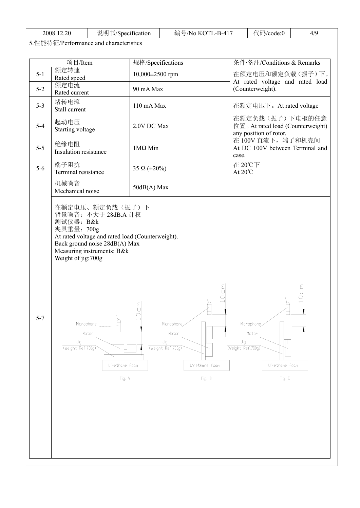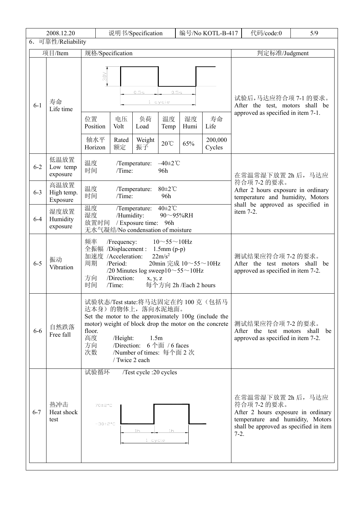|                             | 2008.12.20                     | 说明书/Specification<br>编号/No KOTL-B-417                                                                                                                                                                                                                                                               |                                                                                                                                                                                                                                                                                                     |                                                     |                                 |                           |                                 |                                                                                              | 代码/code:0                                                                                                                                              | 5/9 |  |
|-----------------------------|--------------------------------|-----------------------------------------------------------------------------------------------------------------------------------------------------------------------------------------------------------------------------------------------------------------------------------------------------|-----------------------------------------------------------------------------------------------------------------------------------------------------------------------------------------------------------------------------------------------------------------------------------------------------|-----------------------------------------------------|---------------------------------|---------------------------|---------------------------------|----------------------------------------------------------------------------------------------|--------------------------------------------------------------------------------------------------------------------------------------------------------|-----|--|
| 6. 可靠性/Reliability          |                                |                                                                                                                                                                                                                                                                                                     |                                                                                                                                                                                                                                                                                                     |                                                     |                                 |                           |                                 |                                                                                              |                                                                                                                                                        |     |  |
| 项目/Item<br>规格/Specification |                                |                                                                                                                                                                                                                                                                                                     |                                                                                                                                                                                                                                                                                                     |                                                     |                                 |                           |                                 |                                                                                              | 判定标准/Judgment                                                                                                                                          |     |  |
| $6 - 1$                     | 寿命<br>Life time                | 3.0 <sub>V</sub><br>位置<br>Position<br>轴水平<br>Horizon                                                                                                                                                                                                                                                | 电压<br>Volt<br>Rated<br>额定                                                                                                                                                                                                                                                                           | 0.5s<br>负荷<br>Load<br>Weight<br>振子                  | $1$ cycle<br>温度<br>Temp<br>20°C | 0.5s<br>湿度<br>Humi<br>65% | 寿命<br>Life<br>200,000<br>Cycles | 试验后,马达应符合项 7-1 的要求。<br>After the test, motors shall be<br>approved as specified in item 7-1. |                                                                                                                                                        |     |  |
| $6 - 2$                     | 低温放置<br>Low temp<br>exposure   | 温度<br>时间                                                                                                                                                                                                                                                                                            | Time:                                                                                                                                                                                                                                                                                               | /Temperature:                                       | $-40\pm2$ °C<br>96h             |                           |                                 |                                                                                              | 在常温常湿下放置 2h 后, 马达应                                                                                                                                     |     |  |
| $6 - 3$                     | 高温放置<br>High temp.<br>Exposure | 温度<br>时间                                                                                                                                                                                                                                                                                            | /Time:                                                                                                                                                                                                                                                                                              | /Temperature:                                       | $80 \pm 2^{\circ}$ C<br>96h     |                           |                                 |                                                                                              | 符合项 7-2 的要求。<br>After 2 hours exposure in ordinary<br>temperature and humidity, Motors<br>shall be approved as specified in                            |     |  |
| $6 - 4$                     | 湿度放置<br>Humidity<br>exposure   | 温度<br>湿度<br>放置时间                                                                                                                                                                                                                                                                                    | /Humidity:                                                                                                                                                                                                                                                                                          | /Temperature:<br>/ Exposure time:                   | 40±2°C<br>96h                   | 90~95%RH                  |                                 |                                                                                              | item 7-2.                                                                                                                                              |     |  |
| $6 - 5$                     | 振动<br>Vibration                | 频率<br>周期<br>方向<br>时间                                                                                                                                                                                                                                                                                | 无水气凝结/No condensation of moisture<br>$10 - 55 - 10$ Hz<br>/Frequency:<br>全振幅 /Displacement:<br>$1.5$ mm $(p-p)$<br>加速度 /Acceleration:<br>$22m/s^2$<br>/Period:<br>20min 完成 10~55~10Hz<br>/20 Minutes log sweep $10 \sim 55 \sim 10$ Hz<br>/Direction:<br>x, y, z<br>/Time:<br>每个方向 2h /Each 2 hours |                                                     |                                 |                           |                                 |                                                                                              | 测试结果应符合项 7-2 的要求。<br>After the test motors shall be<br>approved as specified in item 7-2.                                                              |     |  |
| $6 - 6$                     | 自然跌落<br>Free fall              | 试验状态/Test state:将马达固定在约 100 克(包括马<br>达本身)的物体上, 落向水泥地面。<br>Set the motor to the approximately 100g (include the<br>motor) weight of block drop the motor on the concrete<br>floor.<br>高度<br>1.5m<br>/Height:<br>/Direction: 6个面 / 6 faces<br>方向<br>次数<br>/Number of times: 每个面 2 次<br>/ Twice 2 each |                                                                                                                                                                                                                                                                                                     |                                                     |                                 |                           |                                 |                                                                                              | 测试结果应符合项 7-2 的要求。<br>After the test motors shall<br>approved as specified in item 7-2.                                                                 | be  |  |
| $6 - 7$                     | 热冲击<br>Heat shock<br>test      | 试验循环<br>70±2°C<br>$-30\pm2\degree C$                                                                                                                                                                                                                                                                |                                                                                                                                                                                                                                                                                                     | /Test cycle :20 cycles<br>1 <sub>h</sub><br>1 cycle | 1 <sub>h</sub>                  |                           |                                 | $7-2.$                                                                                       | 在常温常湿下放置 2h 后, 马达应<br>符合项 7-2 的要求。<br>After 2 hours exposure in ordinary<br>temperature and humidity, Motors<br>shall be approved as specified in item |     |  |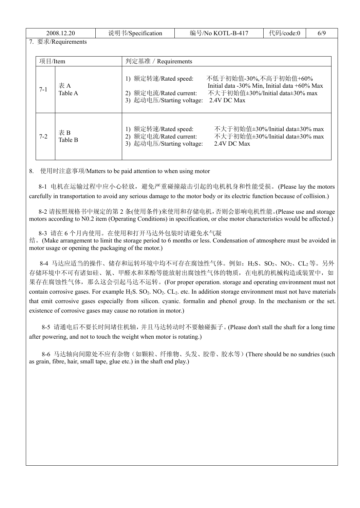| 2008.12.20 |         |                    | 说明书/Specification |                                                                             | 编号/No KOTL-B-417 |                                                                                                                         | 代码/code:0 | 6/9 |
|------------|---------|--------------------|-------------------|-----------------------------------------------------------------------------|------------------|-------------------------------------------------------------------------------------------------------------------------|-----------|-----|
|            |         | 7. 要求/Requirements |                   |                                                                             |                  |                                                                                                                         |           |     |
|            | 项目/Item |                    |                   | 判定基准 / Requirements                                                         |                  |                                                                                                                         |           |     |
|            | $7 - 1$ | 表A<br>Table A      |                   | 1) 额定转速/Rated speed:<br>2) 额定电流/Rated current:<br>3) 起动电压/Starting voltage: |                  | 不低于初始值-30%,不高于初始值+60%<br>Initial data -30% Min, Initial data +60% Max<br>不大于初始值±30%/Initial data±30% max<br>2.4V DC Max |           |     |
|            | $7 - 2$ | 表B<br>Table B      |                   | 1) 额定转速/Rated speed:<br>2) 额定电流/Rated current:<br>3) 起动电压/Starting voltage: |                  | 不大于初始值±30%/Initial data±30% max<br>不大于初始值±30%/Initial data±30% max<br>2.4V DC Max                                       |           |     |

8. 使用时注意事项/Matters to be paid attention to when using motor

8-1 电机在运输过程中应小心轻放,避免严重碰撞敲击引起的电机机身和性能受损。(Please lay the motors carefully in transportation to avoid any serious damage to the motor body or its electric function because of collision.)

8-2 请按照规格书中规定的第 2 条(使用条件)来使用和存储电机,否则会影响电机性能。(Please use and storage motors according to N0.2 item (Operating Conditions) in specification, or else motor characteristics would be affected.)

8-3 请在 6 个月内使用。在使用和打开马达外包装时请避免水气凝

结。(Make arrangement to limit the storage period to 6 months or less. Condensation of atmosphere must be avoided in motor usage or opening the packaging of the motor.)

8-4 马达应适当的操作、储存和运转环境中均不可存在腐蚀性气体。例如: H2S、SO2、NO2、CL2等。另外 存储环境中不可有诸如硅、氰、甲醛水和苯酚等能放射出腐蚀性气体的物质,在电机的机械构造或装置中,如 果存在腐蚀性气体,那么这会引起马达不运转。(For proper operation. storage and operating environment must not contain corrosive gases. For example H<sub>2</sub>S.  $SO_2$ . NO<sub>2</sub>. CL<sub>2</sub>. etc. In addition storage environment must not have materials that emit corrosive gases especially from silicon. cyanic. formalin and phenol group. In the mechanism or the set. existence of corrosive gases may cause no rotation in motor.)

8-5 请通电后不要长时间堵住机轴,并且马达转动时不要触碰振子。(Please don't stall the shaft for a long time after powering, and not to touch the weight when motor is rotating.)

8-6 马达轴向间隙处不应有杂物(如颗粒、纤维物、头发、胶带、胶水等)(There should be no sundries (such as grain, fibre, hair, small tape, glue etc.) in the shaft end play.)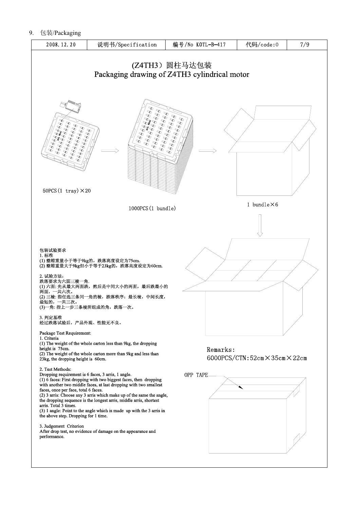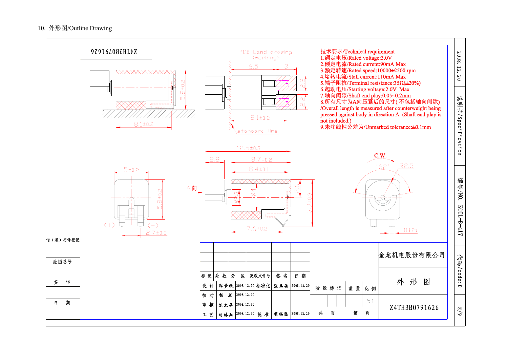